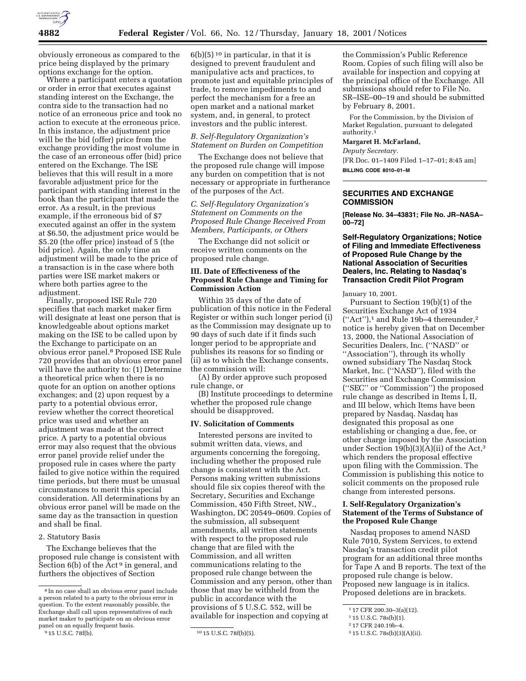

obviously erroneous as compared to the price being displayed by the primary options exchange for the option.

Where a participant enters a quotation or order in error that executes against standing interest on the Exchange, the contra side to the transaction had no notice of an erroneous price and took no action to execute at the erroneous price. In this instance, the adjustment price will be the bid (offer) price from the exchange providing the most volume in the case of an erroneous offer (bid) price entered on the Exchange. The ISE believes that this will result in a more favorable adjustment price for the participant with standing interest in the book than the participant that made the error. As a result, in the previous example, if the erroneous bid of \$7 executed against an offer in the system at \$6.50, the adjustment price would be \$5.20 (the offer price) instead of 5 (the bid price). Again, the only time an adjustment will be made to the price of a transaction is in the case where both parties were ISE market makers or where both parties agree to the adjustment.

Finally, proposed ISE Rule 720 specifies that each market maker firm will designate at least one person that is knowledgeable about options market making on the ISE to be called upon by the Exchange to participate on an obvious error panel.8 Proposed ISE Rule 720 provides that an obvious error panel will have the authority to: (1) Determine a theoretical price when there is no quote for an option on another options exchanges; and (2) upon request by a party to a potential obvious error, review whether the correct theoretical price was used and whether an adjustment was made at the correct price. A party to a potential obvious error may also request that the obvious error panel provide relief under the proposed rule in cases where the party failed to give notice within the required time periods, but there must be unusual circumstances to merit this special consideration. All determinations by an obvious error panel will be made on the same day as the transaction in question and shall be final.

#### 2. Statutory Basis

The Exchange believes that the proposed rule change is consistent with Section  $6(b)$  of the Act<sup>9</sup> in general, and furthers the objectives of Section

 $6(b)(5)^{10}$  in particular, in that it is designed to prevent fraudulent and manipulative acts and practices, to promote just and equitable principles of trade, to remove impediments to and perfect the mechanism for a free an open market and a national market system, and, in general, to protect investors and the public interest.

# *B. Self-Regulatory Organization's Statement on Burden on Competition*

The Exchange does not believe that the proposed rule change will impose any burden on competition that is not necessary or appropriate in furtherance of the purposes of the Act.

*C. Self-Regulatory Organization's Statement on Comments on the Proposed Rule Change Received From Members, Participants, or Others*

The Exchange did not solicit or receive written comments on the proposed rule change.

## **III. Date of Effectiveness of the Proposed Rule Change and Timing for Commission Action**

Within 35 days of the date of publication of this notice in the Federal Register or within such longer period (i) as the Commission may designate up to 90 days of such date if it finds such longer period to be appropriate and publishes its reasons for so finding or (ii) as to which the Exchange consents, the commission will:

(A) By order approve such proposed rule change, or

(B) Institute proceedings to determine whether the proposed rule change should be disapproved.

#### **IV. Solicitation of Comments**

Interested persons are invited to submit written data, views, and arguments concerning the foregoing, including whether the proposed rule change is consistent with the Act. Persons making written submissions should file six copies thereof with the Secretary, Securities and Exchange Commission, 450 Fifth Street, NW., Washington, DC 20549–0609. Copies of the submission, all subsequent amendments, all written statements with respect to the proposed rule change that are filed with the Commission, and all written communications relating to the proposed rule change between the Commission and any person, other than those that may be withheld from the public in accordance with the provisions of 5 U.S.C. 552, will be available for inspection and copying at

the Commission's Public Reference Room. Copies of such filing will also be available for inspection and copying at the principal office of the Exchange. All submissions should refer to File No. SR–ISE–00–19 and should be submitted by February 8, 2001.

For the Commission, by the Division of Market Regulation, pursuant to delegated authority.1

### **Margaret H. McFarland,**

*Deputy Secretary.* [FR Doc. 01–1409 Filed 1–17–01; 8:45 am] **BILLING CODE 8010–01–M**

### **SECURITIES AND EXCHANGE COMMISSION**

**[Release No. 34–43831; File No. JR–NASA– 00–72]**

## **Self-Regulatory Organizations; Notice of Filing and Immediate Effectiveness of Proposed Rule Change by the National Association of Securities Dealers, Inc. Relating to Nasdaq's Transaction Credit Pilot Program**

January 10, 2001.

Pursuant to Section 19(b)(1) of the Securities Exchange Act of 1934 (''Act''),1 and Rule 19b–4 thereunder,2 notice is hereby given that on December 13, 2000, the National Association of Securities Dealers, Inc. (''NASD'' or ''Association''), through its wholly owned subsidiary The Nasdaq Stock Market, Inc. (''NASD''), filed with the Securities and Exchange Commission (''SEC'' or ''Commission'') the proposed rule change as described in Items I, II, and III below, which Items have been prepared by Nasdaq. Nasdaq has designated this proposal as one establishing or changing a due, fee, or other charge imposed by the Association under Section  $19(b)(3)(A)(ii)$  of the Act,<sup>3</sup> which renders the proposal effective upon filing with the Commission. The Commission is publishing this notice to solicit comments on the proposed rule change from interested persons.

### **I. Self-Regulatory Organization's Statement of the Terms of Substance of the Proposed Rule Change**

Nasdaq proposes to amend NASD Rule 7010, System Services, to extend Nasdaq's transaction credit pilot program for an additional three months for Tape A and B reports. The text of the proposed rule change is below. Proposed new language is in italics. Proposed deletions are in brackets.

<sup>8</sup> In no case shall an obvious error panel include a person related to a party to the obvious error in question. To the extent reasonably possible, the Exchange shall call upon representatives of each market maker to participate on an obvious error panel on an equally frequent basis.<br> $915$  U.S.C. 78f(b).

<sup>10 15</sup> U.S.C. 78f(b)(5).

<sup>1</sup> 17 CFR 200.30–3(a)(12).

<sup>1</sup> 15 U.S.C. 78s(b)(1).

<sup>2</sup> 17 CFR 240.19b–4.

<sup>3</sup> 15 U.S.C. 78s(b)(3)(A)(ii).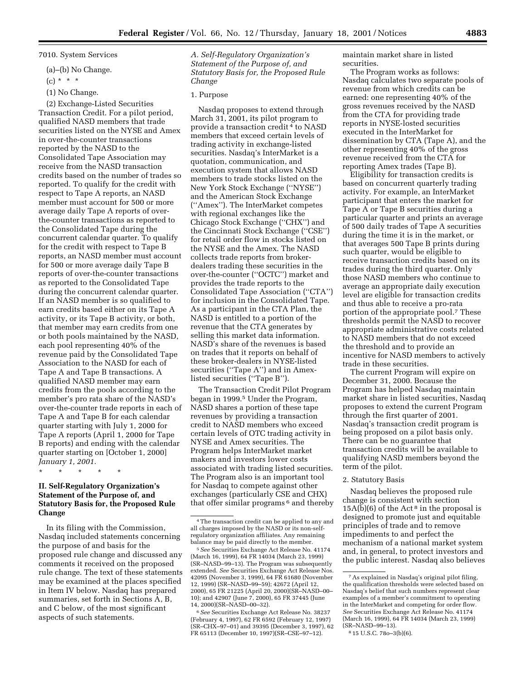7010. System Services

(a)–(b) No Change.

 $(c) * * * *$ 

(1) No Change.

(2) Exchange-Listed Securities Transaction Credit. For a pilot period, qualified NASD members that trade securities listed on the NYSE and Amex in over-the-counter transactions reported by the NASD to the Consolidated Tape Association may receive from the NASD transaction credits based on the number of trades so reported. To qualify for the credit with respect to Tape A reports, an NASD member must account for 500 or more average daily Tape A reports of overthe-counter transactions as reported to the Consolidated Tape during the concurrent calendar quarter. To qualify for the credit with respect to Tape B reports, an NASD member must account for 500 or more average daily Tape B reports of over-the-counter transactions as reported to the Consolidated Tape during the concurrent calendar quarter. If an NASD member is so qualified to earn credits based either on its Tape A activity, or its Tape B activity, or both, that member may earn credits from one or both pools maintained by the NASD, each pool representing 40% of the revenue paid by the Consolidated Tape Association to the NASD for each of Tape A and Tape B transactions. A qualified NASD member may earn credits from the pools according to the member's pro rata share of the NASD's over-the-counter trade reports in each of Tape A and Tape B for each calendar quarter starting with July 1, 2000 for Tape A reports (April 1, 2000 for Tape B reports) and ending with the calendar quarter starting on [October 1, 2000] *January 1, 2001.*

\* \* \* \* \*

# **II. Self-Regulatory Organization's Statement of the Purpose of, and Statutory Basis for, the Proposed Rule Change**

In its filing with the Commission, Nasdaq included statements concerning the purpose of and basis for the proposed rule change and discussed any comments it received on the proposed rule change. The text of these statements may be examined at the places specified in Item IV below. Nasdaq has prepared summaries, set forth in Sections A, B, and C below, of the most significant aspects of such statements.

*A. Self-Regulatory Organization's Statement of the Purpose of, and Statutory Basis for, the Proposed Rule Change*

#### 1. Purpose

Nasdaq proposes to extend through March 31, 2001, its pilot program to provide a transaction credit 4 to NASD members that exceed certain levels of trading activity in exchange-listed securities. Nasdaq's InterMarket is a quotation, communication, and execution system that allows NASD members to trade stocks listed on the New York Stock Exchange (''NYSE'') and the American Stock Exchange (''Amex''). The InterMarket competes with regional exchanges like the Chicago Stock Exchange (''CHX'') and the Cincinnati Stock Exchange (''CSE'') for retail order flow in stocks listed on the NYSE and the Amex. The NASD collects trade reports from brokerdealers trading these securities in the over-the-counter (''OCTC'') market and provides the trade reports to the Consolidated Tape Association (''CTA'') for inclusion in the Consolidated Tape. As a participant in the CTA Plan, the NASD is entitled to a portion of the revenue that the CTA generates by selling this market data information. NASD's share of the revenues is based on trades that it reports on behalf of these broker-dealers in NYSE-listed securities ("Tape A") and in Amexlisted securities (''Tape B'').

The Transaction Credit Pilot Program began in 1999.5 Under the Program, NASD shares a portion of these tape revenues by providing a transaction credit to NASD members who exceed certain levels of OTC trading activity in NYSE and Amex securities. The Program helps InterMarket market makers and investors lower costs associated with trading listed securities. The Program also is an important tool for Nasdaq to compete against other exchanges (particularly CSE and CHX) that offer similar programs 6 and thereby maintain market share in listed securities.

The Program works as follows: Nasdaq calculates two separate pools of revenue from which credits can be earned: one representing 40% of the gross revenues received by the NASD from the CTA for providing trade reports in NYSE-losted securities executed in the InterMarket for dissemination by CTA (Tape A), and the other representing 40% of the gross revenue received from the CTA for reporting Amex trades (Tape B).

Eligibility for transaction credits is based on concurrent quarterly trading activity. For example, an InterMarket participant that enters the market for Tape A or Tape B securities during a particular quarter and prints an average of 500 daily trades of Tape A securities during the time it is in the market, or that averages 500 Tape B prints during such quarter, would be eligible to receive transaction credits based on its trades during the third quarter. Only those NASD members who continue to average an appropriate daily execution level are eligible for transaction credits and thus able to receive a pro-rata portion of the appropriate pool.7 These thresholds permit the NASD to recover appropriate administrative costs related to NASD members that do not exceed the threshold and to provide an incentive for NASD members to actively trade in these securities.

The current Program will expire on December 31, 2000. Because the Program has helped Nasdaq maintain market share in listed securities, Nasdaq proposes to extend the current Program through the first quarter of 2001. Nasdaq's transaction credit program is being proposed on a pilot basis only. There can be no guarantee that transaction credits will be available to qualifying NASD members beyond the term of the pilot.

#### 2. Statutory Basis

Nasdaq believes the proposed rule change is consistent with section  $15A(b)(6)$  of the Act<sup>8</sup> in the proposal is designed to promote just and equitable principles of trade and to remove impediments to and perfect the mechanism of a national market system and, in general, to protect investors and the public interest. Nasdaq also believes

<sup>4</sup>The transaction credit can be applied to any and all charges imposed by the NASD or its non-selfregulatory organization affiliates. Any remaining balance may be paid directly to the member.

<sup>5</sup>*See* Securities Exchange Act Release No. 41174 (March 16, 1999), 64 FR 14034 (March 23, 1999) (SR–NASD–99–13). The Program was subsequently extended. *See* Securities Exchange Act Release Nos. 42095 (November 3, 1999), 64 FR 61680 (November 12, 1999) (SR–NASD–99–59); 42672 (April 12, 2000), 65 FR 21225 (April 20, 2000)(SR–NASD–00– 10); and 42907 (June 7, 2000), 65 FR 37445 (June 14, 2000)(SR–NASD–00–32).

<sup>6</sup>*See* Securities Exchange Act Release No. 38237 (February 4, 1997), 62 FR 6592 (February 12, 1997) (SR–CHX–97–01) and 39395 (December 3, 1997), 62 FR 65113 (December 10, 1997)(SR–CSE–97–12).

<sup>7</sup>As explained in Nasdaq's original pilot filing, the qualification thresholds were selected based on Nasdaq's belief that such numbers represent clear examples of a member's commitment to operating in the InterMarket and competing for order flow. *See* Securities Exchange Act Release No. 41174 (March 16, 1999), 64 FR 14034 (March 23, 1999) (SR–NASD–99–13).

<sup>8</sup> 15 U.S.C. 78o–3(b)(6).